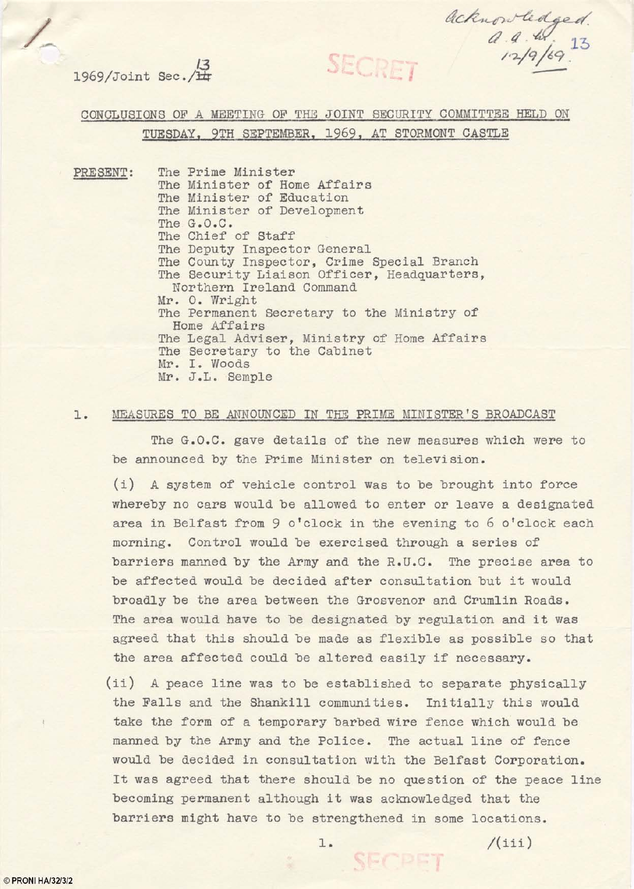SECRET

acknowledged.<br>a.a.w.jg<br>12/9/69.

**13**   $1969/Joint$  Sec./ $\frac{1}{11}$ 

CONCLUSIONS OF A MEETING OF THE JOINT SECURITY COMMITTEE HELD ON TUESDAY, 9TH SEPTEMBER, 1969, AT STORMONT CASTLE

PRESENT: The Prime Minister The Minister of Home Affairs The Minister of Education The Minister of Development The G.O.C. The Chief of Staff The Deputy Inspector General The County Inspector, Crime Special Branch The Security Liaison Officer, Headquarters, Northern Ireland Command Mr. o. Wright The Permanent Secretary to the Ministry of Home Affairs The Legal Adviser, Ministry of Home Affairs The Secretary to the Cabinet Mr. 1. Woods Mr. *J.L.* Semple

### **1.** MEASURES TO BE ANNOUNCED IN THE PRIME MINI STER 's BROADCAST

The G.O.C. gave details of the new measures which were to be announced by the Prime Minister on television.

(i) A system of vehicle control was to be brought into force whereby no cars would be allowed to enter or leave a designated area in Belfast from 9 o'clock in the evening to 6 o'clock each morning. Control would be exercised through a series of barriers manned by the Army and the R.U.C. The precise area to be affected would be decided after consultation but it would broadly be the area between the Grosvenor and Crumlin Roads. The area would have to be designated by regulation and it was agreed that this should be made as flexible as possible so that the area affected could be altered easily if necessary.

(ii) A peace line was to be established to separate physically the Falls and the Shankill communities. Initially this would take the form of a temporary barbed wire fence which would be manned by the Army and the Police. The actual line of fence would be decided in consultation with the Belfast Corporation. It was agreed that there should be no question of the peace line becoming permanent although it was acknowledged that the barriers might have to be strengthened in some locations.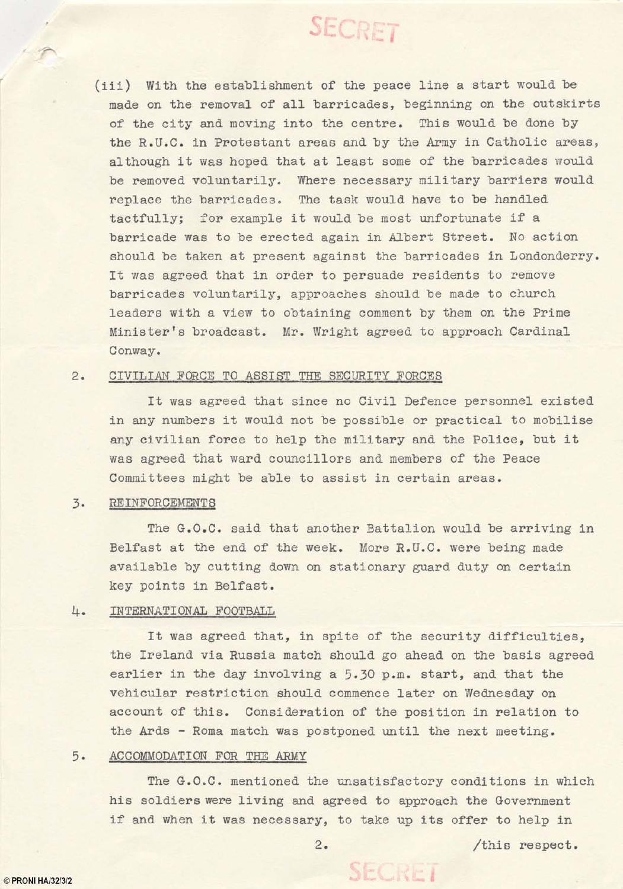# **SECRET**

(iii) With the establishment of the peace line a start would be made on the removal of all barricades, beginning on the outskirts of the city and moving into the centre. This would be done by the R.U.C. in Protestant areas and by the Army in Catholic areas, although it was hoped that at least some of the barricades would be removed voluntarily. Where necessary military barriers would replace the barricades. The task would have to be handled tactfully; for example it would be most unfortunate if a barricade was to be erected again in Albert street. No action should be taken at present against the barricades in Londonderry. It was agreed that in order to persuade residents to remove barricades voluntarily, approaches should be made to church leaders with a view to obtaining comment by them on the Prime Minister's broadcast. Mr. Wright agreed to approach Cardinal Conway.

## 2. CIVILIAN FORCE TO ASSIST THE SECURITY FORCES

It was agreed that since no Civil Defence personnel existed in any numbers it would not be possible or practical to mobilise any civilian force to help the military and the Police, but it was agreed that ward councillors and members of the Peace Committees might be able to assist in certain areas.

### 3. REINFORCEMENTS

The G.O.C. said that another Battalion would be arriving in Belfast at the end of the week. More R.U.C. were being made available by cutting down on stationary guard duty on certain key points in Belfast.

#### 4. INTERNATIONAL FOOTBALL

It was agreed that, in spite of the security difficulties, the Ireland via Russia match should go ahead on the basis agreed earlier in the day involving a 5.30 p.m. start, and that the vehicular restriction should commence later on Wednesday on account of this. Consideration of the position in relation to the Ards - Roma match was postponed until the next meeting.

#### 5. ACCOMMODATION FOR THE ARMY

The G.O.C. mentioned the unsatisfactory conditions in which his soldiers were living and agreed to approach the Government if and when it was necessary, to take up its offer to help in

SECRET

© PRONI HA/32/3/2

r

2. /this respect.